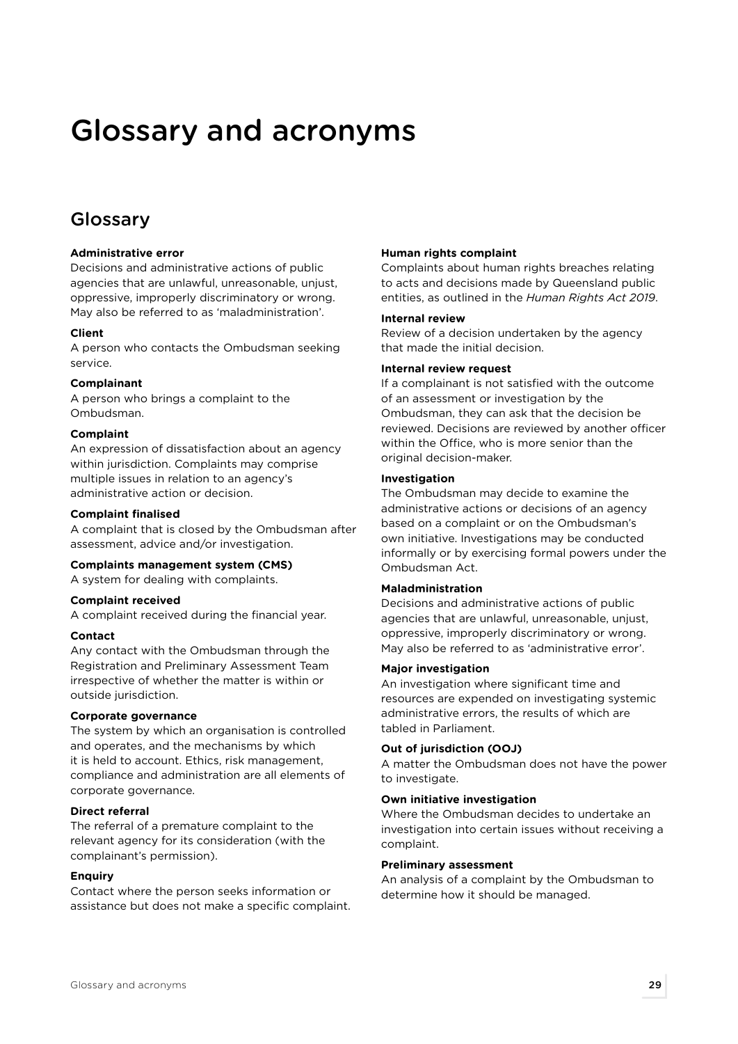# Glossary and acronyms

## Glossary

#### **Administrative error**

Decisions and administrative actions of public agencies that are unlawful, unreasonable, unjust, oppressive, improperly discriminatory or wrong. May also be referred to as 'maladministration'.

#### **Client**

A person who contacts the Ombudsman seeking service.

#### **Complainant**

A person who brings a complaint to the Ombudsman.

#### **Complaint**

An expression of dissatisfaction about an agency within jurisdiction. Complaints may comprise multiple issues in relation to an agency's administrative action or decision.

#### **Complaint finalised**

A complaint that is closed by the Ombudsman after assessment, advice and/or investigation.

#### **Complaints management system (CMS)**

A system for dealing with complaints.

#### **Complaint received**

A complaint received during the financial year.

#### **Contact**

Any contact with the Ombudsman through the Registration and Preliminary Assessment Team irrespective of whether the matter is within or outside jurisdiction.

#### **Corporate governance**

The system by which an organisation is controlled and operates, and the mechanisms by which it is held to account. Ethics, risk management, compliance and administration are all elements of corporate governance.

#### **Direct referral**

The referral of a premature complaint to the relevant agency for its consideration (with the complainant's permission).

#### **Enquiry**

Contact where the person seeks information or assistance but does not make a specific complaint.

#### **Human rights complaint**

Complaints about human rights breaches relating to acts and decisions made by Queensland public entities, as outlined in the *Human Rights Act 2019*.

#### **Internal review**

Review of a decision undertaken by the agency that made the initial decision.

#### **Internal review request**

If a complainant is not satisfied with the outcome of an assessment or investigation by the Ombudsman, they can ask that the decision be reviewed. Decisions are reviewed by another officer within the Office, who is more senior than the original decision-maker.

#### **Investigation**

The Ombudsman may decide to examine the administrative actions or decisions of an agency based on a complaint or on the Ombudsman's own initiative. Investigations may be conducted informally or by exercising formal powers under the Ombudsman Act.

#### **Maladministration**

Decisions and administrative actions of public agencies that are unlawful, unreasonable, unjust, oppressive, improperly discriminatory or wrong. May also be referred to as 'administrative error'.

#### **Major investigation**

An investigation where significant time and resources are expended on investigating systemic administrative errors, the results of which are tabled in Parliament.

#### **Out of jurisdiction (OOJ)**

A matter the Ombudsman does not have the power to investigate.

#### **Own initiative investigation**

Where the Ombudsman decides to undertake an investigation into certain issues without receiving a complaint.

#### **Preliminary assessment**

An analysis of a complaint by the Ombudsman to determine how it should be managed.